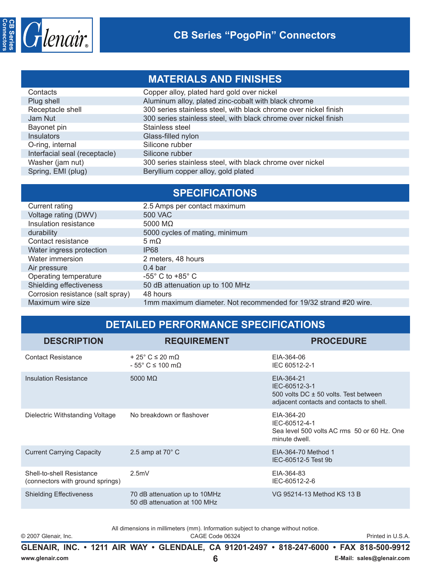

## **MATERIALS AND FINISHES**

| Contacts                      | Copper alloy, plated hard gold over nickel                       |
|-------------------------------|------------------------------------------------------------------|
| Plug shell                    | Aluminum alloy, plated zinc-cobalt with black chrome             |
| Receptacle shell              | 300 series stainless steel, with black chrome over nickel finish |
| Jam Nut                       | 300 series stainless steel, with black chrome over nickel finish |
| Bayonet pin                   | Stainless steel                                                  |
| <b>Insulators</b>             | Glass-filled nylon                                               |
| O-ring, internal              | Silicone rubber                                                  |
| Interfacial seal (receptacle) | Silicone rubber                                                  |
| Washer (jam nut)              | 300 series stainless steel, with black chrome over nickel        |
| Spring, EMI (plug)            | Beryllium copper alloy, gold plated                              |
|                               |                                                                  |

|                                   | <b>SPECIFICATIONS</b>                                            |
|-----------------------------------|------------------------------------------------------------------|
| Current rating                    | 2.5 Amps per contact maximum                                     |
| Voltage rating (DWV)              | <b>500 VAC</b>                                                   |
| Insulation resistance             | 5000 M $\Omega$                                                  |
| durability                        | 5000 cycles of mating, minimum                                   |
| Contact resistance                | 5 m $\Omega$                                                     |
| Water ingress protection          | IP <sub>68</sub>                                                 |
| Water immersion                   | 2 meters, 48 hours                                               |
| Air pressure                      | 0.4 <sub>bar</sub>                                               |
| Operating temperature             | $-55^{\circ}$ C to $+85^{\circ}$ C                               |
| Shielding effectiveness           | 50 dB attenuation up to 100 MHz                                  |
| Corrosion resistance (salt spray) | 48 hours                                                         |
| Maximum wire size                 | 1mm maximum diameter. Not recommended for 19/32 strand #20 wire. |

## **DETAILED PERFORMANCE SPECIFICATIONS**

| <b>DESCRIPTION</b>                                            | <b>REQUIREMENT</b>                                                            | <b>PROCEDURE</b>                                                                                                 |
|---------------------------------------------------------------|-------------------------------------------------------------------------------|------------------------------------------------------------------------------------------------------------------|
| <b>Contact Resistance</b>                                     | $+25^{\circ}$ C $\leq 20$ m $\Omega$<br>$-55^{\circ}$ C $\leq 100$ m $\Omega$ | EIA-364-06<br>IEC 60512-2-1                                                                                      |
| <b>Insulation Resistance</b>                                  | 5000 M $\Omega$                                                               | EIA-364-21<br>IEC-60512-3-1<br>500 volts DC ± 50 volts. Test between<br>adjacent contacts and contacts to shell. |
| Dielectric Withstanding Voltage                               | No breakdown or flashover                                                     | EIA-364-20<br>IEC-60512-4-1<br>Sea level 500 volts AC rms 50 or 60 Hz, One<br>minute dwell.                      |
| <b>Current Carrying Capacity</b>                              | 2.5 amp at $70^{\circ}$ C                                                     | EIA-364-70 Method 1<br>IEC-60512-5 Test 9b                                                                       |
| Shell-to-shell Resistance<br>(connectors with ground springs) | 2.5mV                                                                         | EIA-364-83<br>IEC-60512-2-6                                                                                      |
| <b>Shielding Effectiveness</b>                                | 70 dB attenuation up to 10MHz<br>50 dB attenuation at 100 MHz                 | VG 95214-13 Method KS 13 B                                                                                       |
|                                                               |                                                                               |                                                                                                                  |

All dimensions in millimeters (mm). Information subject to change without notice.

© 2007 Glenair, Inc. CAGE Code 06324 Printed in U.S.A.

**GLENAIR, INC. • 1211 AIR WAY • GLENDALE, CA 91201-2497 • 818-247-6000 • FAX 818-500-9912 www.glenair.com 6 E-Mail: sales@glenair.com**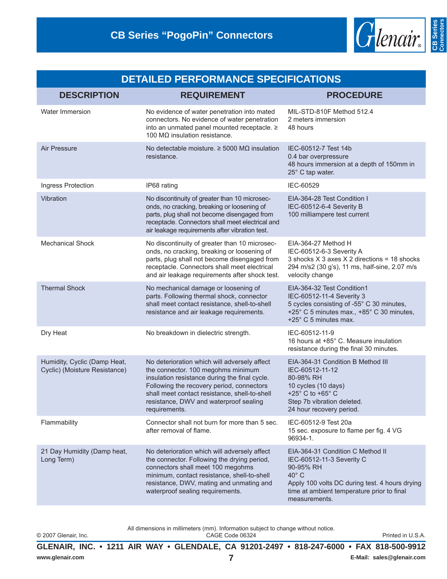

| <b>DETAILED PERFORMANCE SPECIFICATIONS</b>                    |                                                                                                                                                                                                                                                                                              |                                                                                                                                                                                                               |  |  |
|---------------------------------------------------------------|----------------------------------------------------------------------------------------------------------------------------------------------------------------------------------------------------------------------------------------------------------------------------------------------|---------------------------------------------------------------------------------------------------------------------------------------------------------------------------------------------------------------|--|--|
| <b>DESCRIPTION</b>                                            | <b>REQUIREMENT</b>                                                                                                                                                                                                                                                                           | <b>PROCEDURE</b>                                                                                                                                                                                              |  |  |
| <b>Water Immersion</b>                                        | No evidence of water penetration into mated<br>connectors. No evidence of water penetration<br>into an unmated panel mounted receptacle. ≥<br>100 $MΩ$ insulation resistance.                                                                                                                | MIL-STD-810F Method 512.4<br>2 meters immersion<br>48 hours                                                                                                                                                   |  |  |
| Air Pressure                                                  | No detectable moisture. $\geq$ 5000 M $\Omega$ insulation<br>resistance.                                                                                                                                                                                                                     | IEC-60512-7 Test 14b<br>0.4 bar overpressure<br>48 hours immersion at a depth of 150mm in<br>25° C tap water.                                                                                                 |  |  |
| Ingress Protection                                            | IP68 rating                                                                                                                                                                                                                                                                                  | IEC-60529                                                                                                                                                                                                     |  |  |
| Vibration                                                     | No discontinuity of greater than 10 microsec-<br>onds, no cracking, breaking or loosening of<br>parts, plug shall not become disengaged from<br>receptacle. Connectors shall meet electrical and<br>air leakage requirements after vibration test.                                           | EIA-364-28 Test Condition I<br>IEC-60512-6-4 Severity B<br>100 milliampere test current                                                                                                                       |  |  |
| <b>Mechanical Shock</b>                                       | No discontinuity of greater than 10 microsec-<br>onds, no cracking, breaking or loosening of<br>parts, plug shall not become disengaged from<br>receptacle. Connectors shall meet electrical<br>and air leakage requirements after shock test.                                               | EIA-364-27 Method H<br>IEC-60512-6-3 Severity A<br>3 shocks $X$ 3 axes $X$ 2 directions = 18 shocks<br>294 m/s2 (30 g's), 11 ms, half-sine, 2.07 m/s<br>velocity change                                       |  |  |
| <b>Thermal Shock</b>                                          | No mechanical damage or loosening of<br>parts. Following thermal shock, connector<br>shall meet contact resistance, shell-to-shell<br>resistance and air leakage requirements.                                                                                                               | EIA-364-32 Test Condition1<br>IEC-60512-11-4 Severity 3<br>5 cycles consisting of -55° C 30 minutes,<br>+25° C 5 minutes max., +85° C 30 minutes,<br>+25° C 5 minutes max.                                    |  |  |
| Dry Heat                                                      | No breakdown in dielectric strength.                                                                                                                                                                                                                                                         | IEC-60512-11-9<br>16 hours at +85° C. Measure insulation<br>resistance during the final 30 minutes.                                                                                                           |  |  |
| Humidity, Cyclic (Damp Heat,<br>Cyclic) (Moisture Resistance) | No deterioration which will adversely affect<br>the connector. 100 megohms minimum<br>insulation resistance during the final cycle.<br>Following the recovery period, connectors<br>shall meet contact resistance, shell-to-shell<br>resistance, DWV and waterproof sealing<br>requirements. | EIA-364-31 Condition B Method III<br>IEC-60512-11-12<br>80-98% RH<br>10 cycles (10 days)<br>+25 $\degree$ C to +65 $\degree$ C<br>Step 7b vibration deleted.<br>24 hour recovery period.                      |  |  |
| Flammability                                                  | Connector shall not burn for more than 5 sec.<br>after removal of flame.                                                                                                                                                                                                                     | IEC-60512-9 Test 20a<br>15 sec. exposure to flame per fig. 4 VG<br>96934-1.                                                                                                                                   |  |  |
| 21 Day Humidity (Damp heat,<br>Long Term)                     | No deterioration which will adversely affect<br>the connector. Following the drying period,<br>connectors shall meet 100 megohms<br>minimum, contact resistance, shell-to-shell<br>resistance, DWV, mating and unmating and<br>waterproof sealing requirements.                              | EIA-364-31 Condition C Method II<br>IEC-60512-11-3 Severity C<br>90-95% RH<br>$40^{\circ}$ C<br>Apply 100 volts DC during test. 4 hours drying<br>time at ambient temperature prior to final<br>measurements. |  |  |

© 2007 Glenair, Inc.

All dimensions in millimeters (mm). Information subject to change without notice.<br>CAGE Code 06324

GLENAIR, INC. • 1211 AIR WAY • GLENDALE, CA 91201-2497 • 818-247-6000 • FAX 818-500-9912 E-Mail: sales@glenair.com www.glenair.com  $\overline{7}$